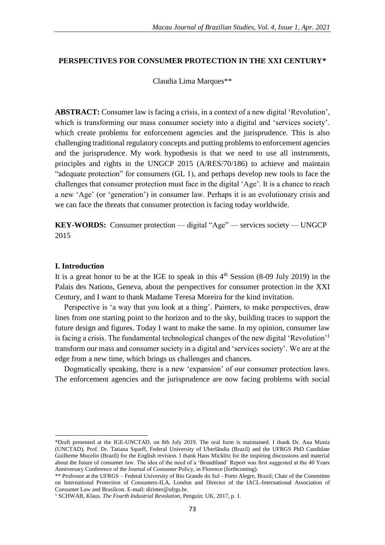# **PERSPECTIVES FOR CONSUMER PROTECTION IN THE XXI CENTURY\***

Claudia Lima Marques\*\*

**ABSTRACT:** Consumer law is facing a crisis, in a context of a new digital 'Revolution', which is transforming our mass consumer society into a digital and 'services society'. which create problems for enforcement agencies and the jurisprudence. This is also challenging traditional regulatory concepts and putting problems to enforcement agencies and the jurisprudence. My work hypothesis is that we need to use all instruments, principles and rights in the UNGCP 2015 (A/RES/70/186) to achieve and maintain "adequate protection" for consumers (GL 1), and perhaps develop new tools to face the challenges that consumer protection must face in the digital 'Age'. It is a chance to reach a new 'Age' (or 'generation') in consumer law. Perhaps it is an evolutionary crisis and we can face the threats that consumer protection is facing today worldwide.

**KEY-WORDS:** Consumer protection — digital "Age" — services society — UNGCP 2015

## **I. Introduction**

1

It is a great honor to be at the IGE to speak in this  $4<sup>th</sup>$  Session (8-09 July 2019) in the Palais des Nations, Geneva, about the perspectives for consumer protection in the XXI Century, and I want to thank Madame Teresa Moreira for the kind invitation.

Perspective is 'a way that you look at a thing'. Painters, to make perspectives, draw lines from one starting point to the horizon and to the sky, building traces to support the future design and figures. Today I want to make the same. In my opinion, consumer law is facing a crisis. The fundamental technological changes of the new digital 'Revolution'<sup>1</sup> transform our mass and consumer society in a digital and 'services society'. We are at the edge from a new time, which brings us challenges and chances.

Dogmatically speaking, there is a new 'expansion' of our consumer protection laws. The enforcement agencies and the jurisprudence are now facing problems with social

<sup>\*</sup>Draft presented at the IGE-UNCTAD, on 8th July 2019. The oral form is maintained. I thank Dr. Ana Muniz (UNCTAD), Prof. Dr. Tatiana Squeff, Federal University of Uberlândia (Brazil) and the UFRGS PhD Candidate Guilheme Mucelin (Brazil) for the English revision. I thank Hans Micklitz for the inspiring discussions and material about the future of consumer law. The idea of the need of a 'Brundtland' Report was first suggested at the 40 Years Anniversary Conference of the Journal of Consumer Policy, in Florence (forthcoming).

<sup>\*\*</sup> Professor at the UFRGS – Federal University of Rio Grande do Sul - Porto Alegre, Brazil; Chair of the Committee on International Protection of Consumers-ILA, London and Director of the IACL-International Association of Consumer Law and Brasilcon. E-mail: dirinter@ufrgs.br.

<sup>1</sup> SCHWAB, Klaus. *The Fourth Industrial Revolution*, Penguin: UK, 2017, p. 1.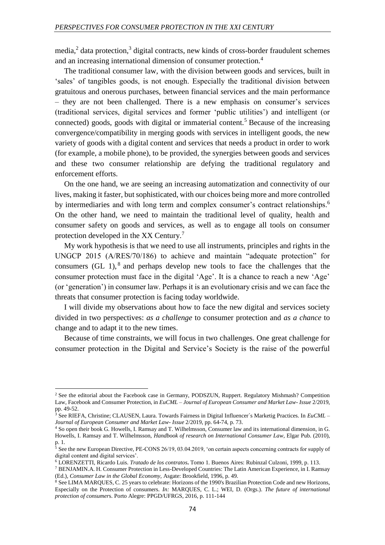$median<sub>i</sub><sup>2</sup>$  data protection,<sup>3</sup> digital contracts, new kinds of cross-border fraudulent schemes and an increasing international dimension of consumer protection.<sup>4</sup>

The traditional consumer law, with the division between goods and services, built in 'sales' of tangibles goods, is not enough. Especially the traditional division between gratuitous and onerous purchases, between financial services and the main performance – they are not been challenged. There is a new emphasis on consumer's services (traditional services, digital services and former 'public utilities') and intelligent (or connected) goods, goods with digital or immaterial content.<sup>5</sup> Because of the increasing convergence/compatibility in merging goods with services in intelligent goods, the new variety of goods with a digital content and services that needs a product in order to work (for example, a mobile phone), to be provided, the synergies between goods and services and these two consumer relationship are defying the traditional regulatory and enforcement efforts.

On the one hand, we are seeing an increasing automatization and connectivity of our lives, making it faster, but sophisticated, with our choices being more and more controlled by intermediaries and with long term and complex consumer's contract relationships.<sup>6</sup> On the other hand, we need to maintain the traditional level of quality, health and consumer safety on goods and services, as well as to engage all tools on consumer protection developed in the XX Century.<sup>7</sup>

My work hypothesis is that we need to use all instruments, principles and rights in the UNGCP 2015 (A/RES/70/186) to achieve and maintain "adequate protection" for consumers  $(GL 1)$ ,  $8$  and perhaps develop new tools to face the challenges that the consumer protection must face in the digital 'Age'. It is a chance to reach a new 'Age' (or 'generation') in consumer law. Perhaps it is an evolutionary crisis and we can face the threats that consumer protection is facing today worldwide.

I will divide my observations about how to face the new digital and services society divided in two perspectives: *as a challenge* to consumer protection and *as a chance* to change and to adapt it to the new times.

Because of time constraints, we will focus in two challenges. One great challenge for consumer protection in the Digital and Service's Society is the raise of the powerful

**.** 

<sup>&</sup>lt;sup>2</sup> See the editorial about the Facebook case in Germany, PODSZUN, Ruppert. Regulatory Mishmash? Competition Law, Facebook and Consumer Protection, in *EuCML – Journal of European Consumer and Market Law- Issue* 2/2019, pp. 49-52.

<sup>3</sup> See RIEFA, Christine; CLAUSEN, Laura. Towards Fairness in Digital Influencer´s Marketig Practices. In *EuCML – Journal of European Consumer and Market Law- Issue* 2/2019, pp. 64-74, p. 73.

<sup>4</sup> So open their book G. Howells, I. Ramsay and T. Wilhelmsson, Consumer law and its international dimension, in G. Howells, I. Ramsay and T. Wilhelmsson, *Handbook of research on International Consumer Law,* Elgar Pub. (2010), p. 1.

<sup>&</sup>lt;sup>5</sup> See the new European Directive, PE-CONS 26/19, 03.04.2019, 'on certain aspects concerning contracts for supply of digital content and digital services'.

<sup>6</sup> LORENZETTI, Ricardo Luis. *Tratado de los contratos***.** Tomo 1*.* Buenos Aires: Rubinzal Culzoni, 1999, p. 113.

<sup>7</sup> BENJAMIN.A. H. Consumer Protection in Less-Developed Countries: The Latin American Experience, in I. Ramsay (Ed.), *Consumer Law in the Global Economy,* Asgate: Brookfield, 1996, p. 49.

<sup>&</sup>lt;sup>8</sup> See LIMA MARQUES, C. 25 years to celebrate: Horizons of the 1990's Brazilian Protection Code and new Horizons, Especially on the Protection of consumers. *In:* MARQUES, C. L.; WEI, D. (Orgs.). *The future of international protection of consumer*s. Porto Alegre: PPGD/UFRGS, 2016, p. 111-144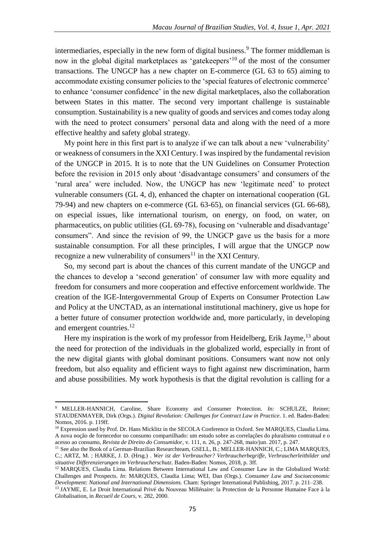intermediaries, especially in the new form of digital business.<sup>9</sup> The former middleman is now in the global digital marketplaces as 'gatekeepers'<sup>10</sup> of the most of the consumer transactions. The UNGCP has a new chapter on E-commerce (GL 63 to 65) aiming to accommodate existing consumer policies to the 'special features of electronic commerce' to enhance 'consumer confidence' in the new digital marketplaces, also the collaboration between States in this matter. The second very important challenge is sustainable consumption. Sustainability is a new quality of goods and services and comes today along with the need to protect consumers' personal data and along with the need of a more effective healthy and safety global strategy.

My point here in this first part is to analyze if we can talk about a new 'vulnerability' or weakness of consumers in the XXI Century. I was inspired by the fundamental revision of the UNGCP in 2015. It is to note that the UN Guidelines on Consumer Protection before the revision in 2015 only about 'disadvantage consumers' and consumers of the 'rural area' were included. Now, the UNGCP has new 'legitimate need' to protect vulnerable consumers (GL 4, d), enhanced the chapter on international cooperation (GL 79-94) and new chapters on e-commerce (GL 63-65), on financial services (GL 66-68), on especial issues, like international tourism, on energy, on food, on water, on pharmaceutics, on public utilities (GL 69-78), focusing on 'vulnerable and disadvantage' consumers". And since the revision of 99, the UNGCP gave us the basis for a more sustainable consumption. For all these principles, I will argue that the UNGCP now recognize a new vulnerability of consumers $11$  in the XXI Century.

So, my second part is about the chances of this current mandate of the UNGCP and the chances to develop a 'second generation' of consumer law with more equality and freedom for consumers and more cooperation and effective enforcement worldwide. The creation of the IGE-Intergovernmental Group of Experts on Consumer Protection Law and Policy at the UNCTAD, as an international institutional machinery, give us hope for a better future of consumer protection worldwide and, more particularly, in developing and emergent countries.<sup>12</sup>

Here my inspiration is the work of my professor from Heidelberg, Erik Jayme,<sup>13</sup> about the need for protection of the individuals in the globalized world, especially in front of the new digital giants with global dominant positions. Consumers want now not only freedom, but also equality and efficient ways to fight against new discrimination, harm and abuse possibilities. My work hypothesis is that the digital revolution is calling for a

1

<sup>9</sup> MELLER-HANNICH, Caroline, Share Economy and Consumer Protection. *In:* SCHULZE, Reiner; STAUDENMAYER, Dirk (Orgs.). *Digital Revolution: Challenges for Contract Law in Practice*. 1. ed. Baden-Baden: Nomos, 2016. p. 119ff.

<sup>10</sup> Expression used by Prof. Dr. Hans Micklitz in the SECOLA Conference in Oxford. See MARQUES, Claudia Lima. A nova noção de fornecedor no consumo compartilhado: um estudo sobre as correlações do pluralismo contratual e o acesso ao consumo, *Revista de Direito do Consumidor*, v. 111, n. 26, p. 247-268, maio/jun. 2017, p. 247.

<sup>&</sup>lt;sup>11</sup> See also the Book of a German-Brazilian Researchteam, GSELL, B.; MELLER-HANNICH, C.; LIMA MARQUES, C.; ARTZ, M. ; HARKE, J. D. (Hrsg.) . *Wer ist der Verbraucher? Verbraucherbegriffe, Verbraucherleitbilder und situative Differenzierungen im Verbraucherschutz*. Baden-Baden: Nomos, 2018, p. 3ff.

<sup>12</sup> MARQUES, Claudia Lima. Relations Between International Law and Consumer Law in the Globalized World: Challenges and Prospects. *In*: MARQUES, Claudia Lima; WEI, Dan (Orgs.). *Consumer Law and Socioeconomic Development: National and International Dimensions.* Cham: Springer International Publishing, 2017. p. 211–238.

<sup>13</sup> JAYME, E. Le Droit International Privé du Nouveau Millénaire: la Protection de la Personne Humaine Face à la Globalisation, in *Recueil de Cours*, v. 282, 2000.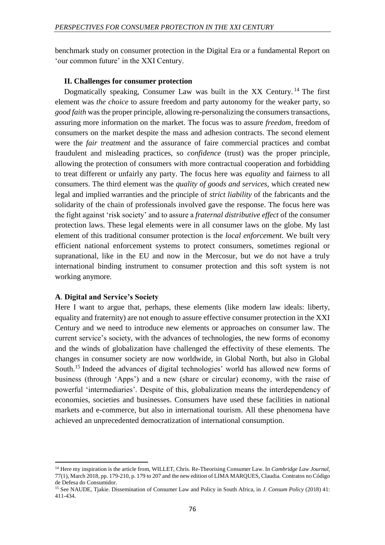benchmark study on consumer protection in the Digital Era or a fundamental Report on 'our common future' in the XXI Century.

# **II. Challenges for consumer protection**

Dogmatically speaking, Consumer Law was built in the XX Century.<sup>14</sup> The first element was *the choice* to assure freedom and party autonomy for the weaker party, so *good faith* was the proper principle, allowing re-personalizing the consumers transactions, assuring more information on the market. The focus was to assure *freedom*, freedom of consumers on the market despite the mass and adhesion contracts. The second element were the *fair treatment* and the assurance of faire commercial practices and combat fraudulent and misleading practices, so *confidence* (trust) was the proper principle, allowing the protection of consumers with more contractual cooperation and forbidding to treat different or unfairly any party. The focus here was *equality* and fairness to all consumers. The third element was the *quality of goods and services*, which created new legal and implied warranties and the principle of *strict liability* of the fabricants and the solidarity of the chain of professionals involved gave the response. The focus here was the fight against 'risk society' and to assure a *fraternal distributive effect* of the consumer protection laws. These legal elements were in all consumer laws on the globe. My last element of this traditional consumer protection is the *local enforcement*. We built very efficient national enforcement systems to protect consumers, sometimes regional or supranational, like in the EU and now in the Mercosur, but we do not have a truly international binding instrument to consumer protection and this soft system is not working anymore.

# **A**. **Digital and Service's Society**

**.** 

Here I want to argue that, perhaps, these elements (like modern law ideals: liberty, equality and fraternity) are not enough to assure effective consumer protection in the XXI Century and we need to introduce new elements or approaches on consumer law. The current service's society, with the advances of technologies, the new forms of economy and the winds of globalization have challenged the effectivity of these elements. The changes in consumer society are now worldwide, in Global North, but also in Global South.<sup>15</sup> Indeed the advances of digital technologies' world has allowed new forms of business (through 'Apps') and a new (share or circular) economy, with the raise of powerful 'intermediaries'. Despite of this, globalization means the interdependency of economies, societies and businesses. Consumers have used these facilities in national markets and e-commerce, but also in international tourism. All these phenomena have achieved an unprecedented democratization of international consumption.

<sup>14</sup> Here my inspiration is the article from, WILLET, Chris. Re-Theorising Consumer Law. In *Cambridge Law Journal*, 77(1), March 2018, pp. 179-210, p. 179 to 207 and the new edition of LIMA MARQUES, Claudia. Contratos no Código de Defesa do Consumidor.

<sup>15</sup> See NAUDE, Tjakie. Dissemination of Consumer Law and Policy in South Africa, in *J. Consum Policy* (2018) 41: 411-434.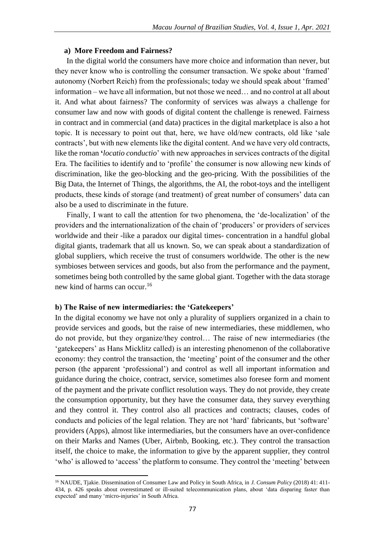### **a) More Freedom and Fairness?**

In the digital world the consumers have more choice and information than never, but they never know who is controlling the consumer transaction. We spoke about 'framed' autonomy (Norbert Reich) from the professionals; today we should speak about 'framed' information – we have all information, but not those we need… and no control at all about it. And what about fairness? The conformity of services was always a challenge for consumer law and now with goods of digital content the challenge is renewed. Fairness in contract and in commercial (and data) practices in the digital marketplace is also a hot topic. It is necessary to point out that, here, we have old/new contracts, old like 'sale contracts', but with new elements like the digital content. And we have very old contracts, like the roman **'***locatio conductio*' with new approaches in services contracts of the digital Era. The facilities to identify and to 'profile' the consumer is now allowing new kinds of discrimination, like the geo-blocking and the geo-pricing. With the possibilities of the Big Data, the Internet of Things, the algorithms, the AI, the robot-toys and the intelligent products, these kinds of storage (and treatment) of great number of consumers' data can also be a used to discriminate in the future.

Finally, I want to call the attention for two phenomena, the 'de-localization' of the providers and the internationalization of the chain of 'producers' or providers of services worldwide and their -like a paradox our digital times- concentration in a handful global digital giants, trademark that all us known. So, we can speak about a standardization of global suppliers, which receive the trust of consumers worldwide. The other is the new symbioses between services and goods, but also from the performance and the payment, sometimes being both controlled by the same global giant. Together with the data storage new kind of harms can occur.<sup>16</sup>

# **b) The Raise of new intermediaries: the 'Gatekeepers'**

**.** 

In the digital economy we have not only a plurality of suppliers organized in a chain to provide services and goods, but the raise of new intermediaries, these middlemen, who do not provide, but they organize/they control… The raise of new intermediaries (the 'gatekeepers' as Hans Micklitz called) is an interesting phenomenon of the collaborative economy: they control the transaction, the 'meeting' point of the consumer and the other person (the apparent 'professional') and control as well all important information and guidance during the choice, contract, service, sometimes also foresee form and moment of the payment and the private conflict resolution ways. They do not provide, they create the consumption opportunity, but they have the consumer data, they survey everything and they control it. They control also all practices and contracts; clauses, codes of conducts and policies of the legal relation. They are not 'hard' fabricants, but 'software' providers (Apps), almost like intermediaries, but the consumers have an over-confidence on their Marks and Names (Uber, Airbnb, Booking, etc.). They control the transaction itself, the choice to make, the information to give by the apparent supplier, they control 'who' is allowed to 'access' the platform to consume. They control the 'meeting' between

<sup>16</sup> NAUDE, Tjakie. Dissemination of Consumer Law and Policy in South Africa, in *J. Consum Policy* (2018) 41: 411- 434, p. 426 speaks about overestimated or ill-suited telecommunication plans, about 'data disparing faster than expected' and many 'micro-injuries' in South Africa.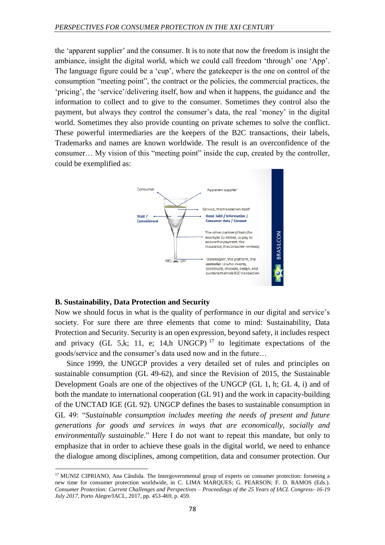the 'apparent supplier' and the consumer. It is to note that now the freedom is insight the ambiance, insight the digital world, which we could call freedom 'through' one 'App'. The language figure could be a 'cup', where the gatekeeper is the one on control of the consumption "meeting point", the contract or the policies, the commercial practices, the 'pricing', the 'service'/delivering itself, how and when it happens, the guidance and the information to collect and to give to the consumer. Sometimes they control also the payment, but always they control the consumer's data, the real 'money' in the digital world. Sometimes they also provide counting on private schemes to solve the conflict. These powerful intermediaries are the keepers of the B2C transactions, their labels, Trademarks and names are known worldwide. The result is an overconfidence of the consumer… My vision of this "meeting point" inside the cup, created by the controller, could be exemplified as:



# **B. Sustainability, Data Protection and Security**

1

Now we should focus in what is the quality of performance in our digital and service's society. For sure there are three elements that come to mind: Sustainability, Data Protection and Security. Security is an open expression, beyond safety, it includes respect and privacy (GL 5,k; 11, e; 14,h UNGCP)<sup>17</sup> to legitimate expectations of the goods/service and the consumer's data used now and in the future…

Since 1999, the UNGCP provides a very detailed set of rules and principles on sustainable consumption (GL 49-62), and since the Revision of 2015, the Sustainable Development Goals are one of the objectives of the UNGCP (GL 1, h; GL 4, i) and of both the mandate to international cooperation (GL 91) and the work in capacity-building of the UNCTAD IGE (GL 92). UNGCP defines the bases to sustainable consumption in GL 49: "*Sustainable consumption includes meeting the needs of present and future generations for goods and services in ways that are economically, socially and environmentally sustainable*." Here I do not want to repeat this mandate, but only to emphasize that in order to achieve these goals in the digital world, we need to enhance the dialogue among disciplines, among competition, data and consumer protection. Our

<sup>&</sup>lt;sup>17</sup> MUNIZ CIPRIANO, Ana Cândida. The Intergovernmental group of experts on consumer protection: forseeing a new time for consumer protection worldwide, in C. LIMA MARQUES; G. PEARSON; F. D. RAMOS (Eds.). *Consumer Protection: Current Challenges and Perspectives – Proceedings of the 25 Years of IACL Congress- 16-19 July 2017*, Porto Alegre/IACL, 2017, pp. 453-469, p. 459.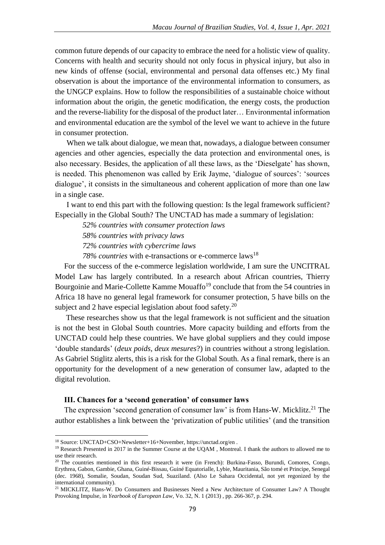common future depends of our capacity to embrace the need for a holistic view of quality. Concerns with health and security should not only focus in physical injury, but also in new kinds of offense (social, environmental and personal data offenses etc.) My final observation is about the importance of the environmental information to consumers, as the UNGCP explains. How to follow the responsibilities of a sustainable choice without information about the origin, the genetic modification, the energy costs, the production and the reverse-liability for the disposal of the product later… Environmental information and environmental education are the symbol of the level we want to achieve in the future in consumer protection.

When we talk about dialogue, we mean that, nowadays, a dialogue between consumer agencies and other agencies, especially the data protection and environmental ones, is also necessary. Besides, the application of all these laws, as the 'Dieselgate' has shown, is needed. This phenomenon was called by Erik Jayme, 'dialogue of sources': 'sources dialogue', it consists in the simultaneous and coherent application of more than one law in a single case.

I want to end this part with the following question: Is the legal framework sufficient? Especially in the Global South? The UNCTAD has made a summary of legislation:

*52% countries with consumer protection laws* 

*58% countries with privacy laws*

*72% countries with cybercrime laws*

78% countries with e-transactions or e-commerce laws<sup>18</sup>

For the success of the e-commerce legislation worldwide, I am sure the UNCITRAL Model Law has largely contributed. In a research about African countries, Thierry Bourgoinie and Marie-Collette Kamme Mouaffo<sup>19</sup> conclude that from the 54 countries in Africa 18 have no general legal framework for consumer protection, 5 have bills on the subject and 2 have especial legislation about food safety. $20$ 

These researches show us that the legal framework is not sufficient and the situation is not the best in Global South countries. More capacity building and efforts from the UNCTAD could help these countries. We have global suppliers and they could impose 'double standards' (*deux poids, deux mesures*?) in countries without a strong legislation. As Gabriel Stiglitz alerts, this is a risk for the Global South. As a final remark, there is an opportunity for the development of a new generation of consumer law, adapted to the digital revolution.

#### **III. Chances for a 'second generation' of consumer laws**

The expression 'second generation of consumer law' is from Hans-W. Micklitz.<sup>21</sup> The author establishes a link between the 'privatization of public utilities' (and the transition

1

<sup>18</sup> Source: UNCTAD+CSO+Newsletter+16+November, https://unctad.org/en .

<sup>&</sup>lt;sup>19</sup> Research Presented in 2017 in the Summer Course at the UQAM, Montreal. I thank the authors to allowed me to use their research.

<sup>&</sup>lt;sup>20</sup> The countries mentioned in this first research it were (in French): Burkina-Fasso, Burundi, Comores, Congo, Erythrea, Gabon, Gambie, Ghana, Guiné-Bissau, Guiné Equatorialle, Lybie, Mauritania, São tomé et Principe, Senegal (dec. 1968), Somalie, Soudan, Soudan Sud, Suaziland. (Also Le Sahara Occidental, not yet regonized by the international community).

<sup>21</sup> MICKLITZ, Hans-W. Do Consumers and Businesses Need a New Architecture of Consumer Law? A Thought Provoking Impulse, in *Yearbook of European Law*, Vo. 32, N. 1 (2013) , pp. 266-367, p. 294.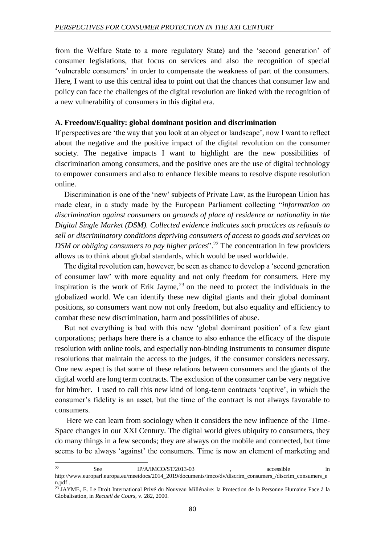from the Welfare State to a more regulatory State) and the 'second generation' of consumer legislations, that focus on services and also the recognition of special 'vulnerable consumers' in order to compensate the weakness of part of the consumers. Here, I want to use this central idea to point out that the chances that consumer law and policy can face the challenges of the digital revolution are linked with the recognition of a new vulnerability of consumers in this digital era.

### **A. Freedom/Equality: global dominant position and discrimination**

If perspectives are 'the way that you look at an object or landscape', now I want to reflect about the negative and the positive impact of the digital revolution on the consumer society. The negative impacts I want to highlight are the new possibilities of discrimination among consumers, and the positive ones are the use of digital technology to empower consumers and also to enhance flexible means to resolve dispute resolution online.

Discrimination is one of the 'new' subjects of Private Law, as the European Union has made clear, in a study made by the European Parliament collecting "*information on discrimination against consumers on grounds of place of residence or nationality in the Digital Single Market (DSM). Collected evidence indicates such practices as refusals to sell or discriminatory conditions depriving consumers of access to goods and services on DSM or obliging consumers to pay higher prices*".<sup>22</sup> The concentration in few providers allows us to think about global standards, which would be used worldwide.

The digital revolution can, however, be seen as chance to develop a 'second generation of consumer law' with more equality and not only freedom for consumers. Here my inspiration is the work of Erik Jayme,  $2<sup>3</sup>$  on the need to protect the individuals in the globalized world. We can identify these new digital giants and their global dominant positions, so consumers want now not only freedom, but also equality and efficiency to combat these new discrimination, harm and possibilities of abuse.

But not everything is bad with this new 'global dominant position' of a few giant corporations; perhaps here there is a chance to also enhance the efficacy of the dispute resolution with online tools, and especially non-binding instruments to consumer dispute resolutions that maintain the access to the judges, if the consumer considers necessary. One new aspect is that some of these relations between consumers and the giants of the digital world are long term contracts. The exclusion of the consumer can be very negative for him/her. I used to call this new kind of long-term contracts 'captive', in which the consumer's fidelity is an asset, but the time of the contract is not always favorable to consumers.

Here we can learn from sociology when it considers the new influence of the Time-Space changes in our XXI Century. The digital world gives ubiquity to consumers, they do many things in a few seconds; they are always on the mobile and connected, but time seems to be always 'against' the consumers. Time is now an element of marketing and

**.** 

<sup>&</sup>lt;sup>22</sup> See IP/A/IMCO/ST/2013-03 , accessible in http://www.europarl.europa.eu/meetdocs/2014\_2019/documents/imco/dv/discrim\_consumers\_/discrim\_consumers\_e n.pdf .

<sup>&</sup>lt;sup>23</sup> JAYME, E. Le Droit International Privé du Nouveau Millénaire: la Protection de la Personne Humaine Face à la Globalisation, in *Recueil de Cours*, v. 282, 2000.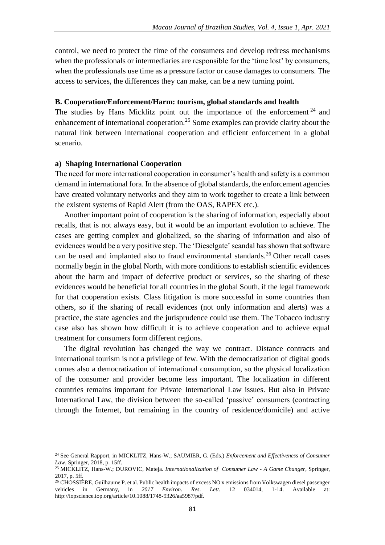control, we need to protect the time of the consumers and develop redress mechanisms when the professionals or intermediaries are responsible for the 'time lost' by consumers, when the professionals use time as a pressure factor or cause damages to consumers. The access to services, the differences they can make, can be a new turning point.

# **B. Cooperation/Enforcement/Harm: tourism, global standards and health**

The studies by Hans Micklitz point out the importance of the enforcement  $24$  and enhancement of international cooperation.<sup>25</sup> Some examples can provide clarity about the natural link between international cooperation and efficient enforcement in a global scenario.

# **a) Shaping International Cooperation**

 $\overline{a}$ 

The need for more international cooperation in consumer's health and safety is a common demand in international fora. In the absence of global standards, the enforcement agencies have created voluntary networks and they aim to work together to create a link between the existent systems of Rapid Alert (from the OAS, RAPEX etc.).

Another important point of cooperation is the sharing of information, especially about recalls, that is not always easy, but it would be an important evolution to achieve. The cases are getting complex and globalized, so the sharing of information and also of evidences would be a very positive step. The 'Dieselgate' scandal has shown that software can be used and implanted also to fraud environmental standards.<sup>26</sup> Other recall cases normally begin in the global North, with more conditions to establish scientific evidences about the harm and impact of defective product or services, so the sharing of these evidences would be beneficial for all countries in the global South, if the legal framework for that cooperation exists. Class litigation is more successful in some countries than others, so if the sharing of recall evidences (not only information and alerts) was a practice, the state agencies and the jurisprudence could use them. The Tobacco industry case also has shown how difficult it is to achieve cooperation and to achieve equal treatment for consumers form different regions.

The digital revolution has changed the way we contract. Distance contracts and international tourism is not a privilege of few. With the democratization of digital goods comes also a democratization of international consumption, so the physical localization of the consumer and provider become less important. The localization in different countries remains important for Private International Law issues. But also in Private International Law, the division between the so-called 'passive' consumers (contracting through the Internet, but remaining in the country of residence/domicile) and active

<sup>24</sup> See General Rapport, in MICKLITZ, Hans-W.; SAUMIER, G. (Eds.) *Enforcement and Effectiveness of Consumer Law*, Springer, 2018, p. 15ff.

<sup>25</sup> MICKLITZ, Hans-W.; DUROVIC, Mateja. *Internationalization of Consumer Law - A Game Changer*, Springer, 2017, p. 5ff.

<sup>&</sup>lt;sup>26</sup> CHOSSIÈRE, Guilhaume P. et al. Public health impacts of excess NO x emissions from Volkswagen diesel passenger vehicles in Germany, in *2017 Environ. Res. Lett*. 12 034014, 1-14. Available at: http://iopscience.iop.org/article/10.1088/1748-9326/aa5987/pdf.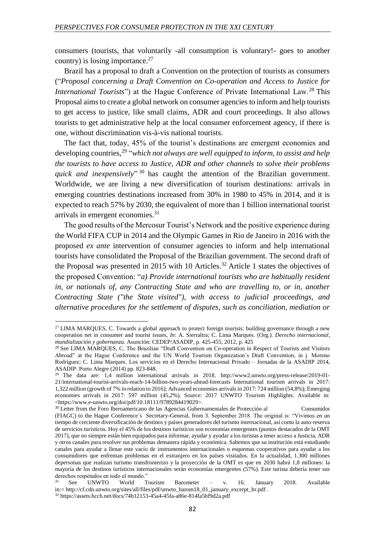consumers (tourists, that voluntarily -all consumption is voluntary!- goes to another country) is losing importance. $27$ 

Brazil has a proposal to draft a Convention on the protection of tourists as consumers ("*Proposal concerning a Draft Convention on Co-operation and Access to Justice for International Tourists*") at the Hague Conference of Private International Law.<sup>28</sup> This Proposal aims to create a global network on consumer agencies to inform and help tourists to get access to justice, like small claims, ADR and court proceedings. It also allows tourists to get administrative help at the local consumer enforcement agency, if there is one, without discrimination vis-à-vis national tourists.

The fact that, today, 45% of the tourist's destinations are emergent economies and developing countries,<sup>29</sup> "which not always are well equipped to inform, to assist and help *the tourists to have access to Justice, ADR and other channels to solve their problems quick and inexpensively*" <sup>30</sup> has caught the attention of the Brazilian government. Worldwide, we are living a new diversification of tourism destinations: arrivals in emerging countries destinations increased from 30% in 1980 to 45% in 2014, and it is expected to reach 57% by 2030, the equivalent of more than 1 billion international tourist arrivals in emergent economies.<sup>31</sup>

The good results of the Mercosur Tourist's Network and the positive experience during the World FIFA CUP in 2014 and the Olympic Games in Rio de Janeiro in 2016 with the proposed *ex ante* intervention of consumer agencies to inform and help international tourists have consolidated the Proposal of the Brazilian government. The second draft of the Proposal was presented in 2015 with 10 Articles.<sup>32</sup> Article 1 states the objectives of the proposed Convention: "*a) Provide international tourists who are habitually resident in, or nationals of, any Contracting State and who are travelling to, or in, another Contracting State ("the State visited"), with access to judicial proceedings, and alternative procedures for the settlement of disputes, such as conciliation, mediation or* 

**.** 

<sup>&</sup>lt;sup>27</sup> LIMA MARQUES, C. Towards a global approach to protect foreign tourists: building governance through a new cooperation net in consumer and tourist issues, *In*: A. Sierraltra; C. Lima Marques. (Org.). *Derecho internacional, mundialización y gobernanza.* Asunción: CEDEP/ASADIP, p. 425-455, 2012, p. 425

<sup>&</sup>lt;sup>28</sup> See LIMA MARQUES, C. The Brazilian "Draft Convention on Co-operation in Respect of Tourists and Visitors Abroad" at the Hague Conference and the UN World Tourism Organization's Draft Convention, in j. Moreno Rodriguez; C. Lima Marques. Los servicios en el Derecho Internacional Privado – Jornadas de la ASADIP 2014, ASADIP: Porto Alegre (2014) pp. 823-848.

<sup>&</sup>lt;sup>29</sup> The data are: 1,4 million international arrivals in 2018. http://www2.unwto.org/press-release/2019-01-21/international-tourist-arrivals-reach-14-billion-two-years-ahead-forecasts International tourism arrivals in 2017: 1,322 million (growth of 7% in relation to 2016); Advanced economies arrivals in 2017: 724 million (54,8%); Emerging economies arrivals in 2017: 597 million (45,2%). Source: 2017 UNWTO Tourism Highlights. Available in: <https://www.e-unwto.org/doi/pdf/10.18111/9789284419029>.

<sup>30</sup> Letter from the Foro Iberoamericano de las Agencias Gubernamentales de Protección al Consumidor (FIAGC) to the Hague Conference´s Secretary-General, from 3. September 2018. The original is: "Vivimos en un tiempo de creciente diversificación de destinos y países generadores del turismo internacional, así como la auto-reserva de servicios turísticos. Hoy el 45% de los destinos turísticos son economías emergentes (puntos destacados de la OMT 2017), que no siempre están bien equipados para informar, ayudar y ayudar a los turistas a tener acceso a Justicia, ADR y otros canales para resolver sus problemas demanera rápida y económica. Sabemos que su institución está estudiando canales para ayudar a llenar este vacío de instrumentos internacionales o esquemas cooperativos para ayudar a los consumidores que enfrentan problemas en el extranjero en los países visitados. En la actualidad, 1.300 millones depersonas que realizan turismo transfronterizo y la proyección de la OMT es que en 2030 habrá 1,8 millones: la mayoría de los destinos turísticos internacionales serán economías emergentes (57%). Este turista debería tener sus derechos respetados en todo el mundo."<br><sup>31</sup> See UNWTO World T

<sup>&</sup>lt;sup>31</sup> See UNWTO World Tourism Barometer – v. 16. January 2018. Available in:< http://cf.cdn.unwto.org/sites/all/files/pdf/unwto\_barom18\_01\_january\_excerpt\_hr.pdf .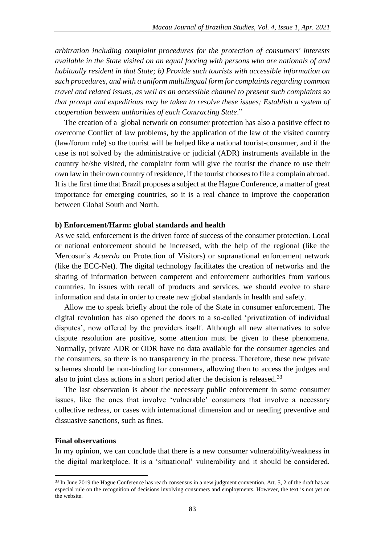*arbitration including complaint procedures for the protection of consumers' interests available in the State visited on an equal footing with persons who are nationals of and habitually resident in that State; b) Provide such tourists with accessible information on such procedures, and with a uniform multilingual form for complaints regarding common travel and related issues, as well as an accessible channel to present such complaints so that prompt and expeditious may be taken to resolve these issues; Establish a system of cooperation between authorities of each Contracting State*."

The creation of a global network on consumer protection has also a positive effect to overcome Conflict of law problems, by the application of the law of the visited country (law/forum rule) so the tourist will be helped like a national tourist-consumer, and if the case is not solved by the administrative or judicial (ADR) instruments available in the country he/she visited, the complaint form will give the tourist the chance to use their own law in their own country of residence, if the tourist chooses to file a complain abroad. It is the first time that Brazil proposes a subject at the Hague Conference, a matter of great importance for emerging countries, so it is a real chance to improve the cooperation between Global South and North.

#### **b) Enforcement/Harm: global standards and health**

As we said, enforcement is the driven force of success of the consumer protection. Local or national enforcement should be increased, with the help of the regional (like the Mercosur´s *Acuerdo* on Protection of Visitors) or supranational enforcement network (like the ECC-Net). The digital technology facilitates the creation of networks and the sharing of information between competent and enforcement authorities from various countries. In issues with recall of products and services, we should evolve to share information and data in order to create new global standards in health and safety.

Allow me to speak briefly about the role of the State in consumer enforcement. The digital revolution has also opened the doors to a so-called 'privatization of individual disputes', now offered by the providers itself. Although all new alternatives to solve dispute resolution are positive, some attention must be given to these phenomena. Normally, private ADR or ODR have no data available for the consumer agencies and the consumers, so there is no transparency in the process. Therefore, these new private schemes should be non-binding for consumers, allowing then to access the judges and also to joint class actions in a short period after the decision is released.<sup>33</sup>

The last observation is about the necessary public enforcement in some consumer issues, like the ones that involve 'vulnerable' consumers that involve a necessary collective redress, or cases with international dimension and or needing preventive and dissuasive sanctions, such as fines.

### **Final observations**

**.** 

In my opinion, we can conclude that there is a new consumer vulnerability/weakness in the digital marketplace. It is a 'situational' vulnerability and it should be considered.

<sup>&</sup>lt;sup>33</sup> In June 2019 the Hague Conference has reach consensus in a new judgment convention. Art. 5, 2 of the draft has an especial rule on the recognition of decisions involving consumers and employments. However, the text is not yet on the website.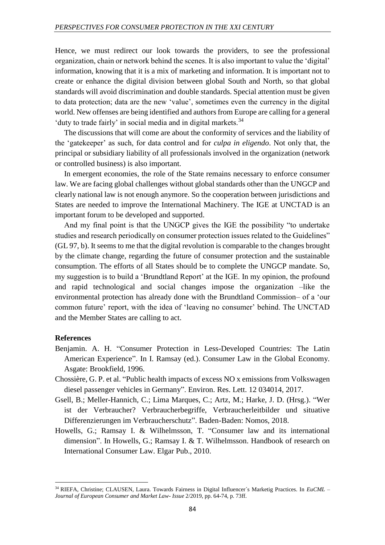Hence, we must redirect our look towards the providers, to see the professional organization, chain or network behind the scenes. It is also important to value the 'digital' information, knowing that it is a mix of marketing and information. It is important not to create or enhance the digital division between global South and North, so that global standards will avoid discrimination and double standards. Special attention must be given to data protection; data are the new 'value', sometimes even the currency in the digital world. New offenses are being identified and authors from Europe are calling for a general 'duty to trade fairly' in social media and in digital markets.<sup>34</sup>

The discussions that will come are about the conformity of services and the liability of the 'gatekeeper' as such, for data control and for *culpa in eligendo*. Not only that, the principal or subsidiary liability of all professionals involved in the organization (network or controlled business) is also important.

In emergent economies, the role of the State remains necessary to enforce consumer law. We are facing global challenges without global standards other than the UNGCP and clearly national law is not enough anymore. So the cooperation between jurisdictions and States are needed to improve the International Machinery. The IGE at UNCTAD is an important forum to be developed and supported.

And my final point is that the UNGCP gives the IGE the possibility "to undertake studies and research periodically on consumer protection issues related to the Guidelines" (GL 97, b). It seems to me that the digital revolution is comparable to the changes brought by the climate change, regarding the future of consumer protection and the sustainable consumption. The efforts of all States should be to complete the UNGCP mandate. So, my suggestion is to build a 'Brundtland Report' at the IGE. In my opinion, the profound and rapid technological and social changes impose the organization –like the environmental protection has already done with the Brundtland Commission– of a 'our common future' report, with the idea of 'leaving no consumer' behind. The UNCTAD and the Member States are calling to act.

#### **References**

 $\overline{a}$ 

- Benjamin. A. H. "Consumer Protection in Less-Developed Countries: The Latin American Experience". In I. Ramsay (ed.). Consumer Law in the Global Economy*.* Asgate: Brookfield, 1996.
- Chossière, G. P. et al. "Public health impacts of excess NO x emissions from Volkswagen diesel passenger vehicles in Germany". Environ. Res. Lett. 12 034014, 2017.
- Gsell, B.; Meller-Hannich, C.; Lima Marques, C.; Artz, M.; Harke, J. D. (Hrsg.). "Wer ist der Verbraucher? Verbraucherbegriffe, Verbraucherleitbilder und situative Differenzierungen im Verbraucherschutz". Baden-Baden: Nomos, 2018.
- Howells, G.; Ramsay I. & Wilhelmsson, T. "Consumer law and its international dimension". In Howells, G.; Ramsay I. & T. Wilhelmsson. Handbook of research on International Consumer Law*.* Elgar Pub., 2010.

<sup>34</sup> RIEFA, Christine; CLAUSEN, Laura. Towards Fairness in Digital Influencer´s Marketig Practices. In *EuCML – Journal of European Consumer and Market Law- Issue* 2/2019, pp. 64-74, p. 73ff.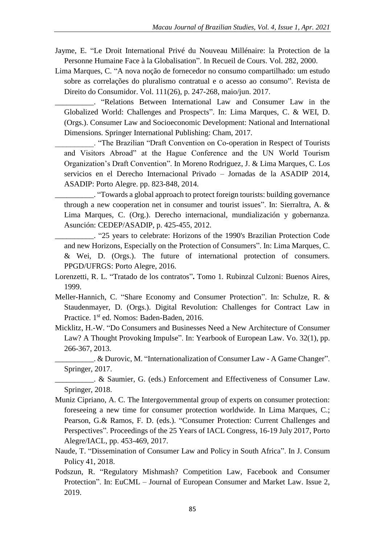- Jayme, E. "Le Droit International Privé du Nouveau Millénaire: la Protection de la Personne Humaine Face à la Globalisation". In Recueil de Cours. Vol. 282, 2000.
- Lima Marques, C. "A nova noção de fornecedor no consumo compartilhado: um estudo sobre as correlações do pluralismo contratual e o acesso ao consumo". Revista de Direito do Consumidor. Vol. 111(26), p. 247-268, maio/jun. 2017.

\_\_\_\_\_\_\_\_\_\_. "Relations Between International Law and Consumer Law in the Globalized World: Challenges and Prospects". In: Lima Marques, C. & WEI, D. (Orgs.). Consumer Law and Socioeconomic Development: National and International Dimensions*.* Springer International Publishing: Cham, 2017.

\_\_\_\_\_\_\_\_\_\_. "The Brazilian "Draft Convention on Co-operation in Respect of Tourists and Visitors Abroad" at the Hague Conference and the UN World Tourism Organization's Draft Convention". In Moreno Rodriguez, J. & Lima Marques, C. Los servicios en el Derecho Internacional Privado – Jornadas de la ASADIP 2014, ASADIP: Porto Alegre. pp. 823-848, 2014.

\_\_\_\_\_\_\_\_\_\_. "Towards a global approach to protect foreign tourists: building governance through a new cooperation net in consumer and tourist issues". In: Sierraltra, A. & Lima Marques, C. (Org.). Derecho internacional, mundialización y gobernanza. Asunción: CEDEP/ASADIP, p. 425-455, 2012.

\_\_\_\_\_\_\_\_\_\_. "25 years to celebrate: Horizons of the 1990's Brazilian Protection Code and new Horizons, Especially on the Protection of Consumers". In: Lima Marques, C. & Wei, D. (Orgs.). The future of international protection of consumers. PPGD/UFRGS: Porto Alegre, 2016.

- Lorenzetti, R. L. "Tratado de los contratos"**.** Tomo 1*.* Rubinzal Culzoni: Buenos Aires, 1999.
- Meller-Hannich, C. "Share Economy and Consumer Protection". In: Schulze, R. & Staudenmayer, D. (Orgs.). Digital Revolution: Challenges for Contract Law in Practice. 1<sup>st</sup> ed. Nomos: Baden-Baden, 2016.
- Micklitz, H.-W. "Do Consumers and Businesses Need a New Architecture of Consumer Law? A Thought Provoking Impulse". In: Yearbook of European Law. Vo. 32(1), pp. 266-367, 2013.

\_\_\_\_\_\_\_\_\_\_. & Durovic, M. "Internationalization of Consumer Law - A Game Changer". Springer, 2017.

\_\_\_\_\_\_\_\_\_\_. & Saumier, G. (eds.) Enforcement and Effectiveness of Consumer Law. Springer, 2018.

- Muniz Cipriano, A. C. The Intergovernmental group of experts on consumer protection: foreseeing a new time for consumer protection worldwide. In Lima Marques, C.; Pearson, G.& Ramos, F. D. (eds.). "Consumer Protection: Current Challenges and Perspectives". Proceedings of the 25 Years of IACL Congress, 16-19 July 2017, Porto Alegre/IACL, pp. 453-469, 2017.
- Naude, T. "Dissemination of Consumer Law and Policy in South Africa". In J. Consum Policy 41, 2018.
- Podszun, R. "Regulatory Mishmash? Competition Law, Facebook and Consumer Protection". In: EuCML – Journal of European Consumer and Market Law. Issue 2, 2019.